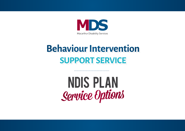

# **Behaviour Intervention SUPPORT SERVICE**

**NDIS PLAN** Service Options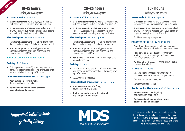## 10-15 hours

#### What you can expect:

#### Assessment - 4 hours approx.

**EXAMPLES:**

- **• 1 x Initial meeting** via phone, skype or in office with parent /carer – including travel (up to 10 km)
- **• 1 x Observations of choice**  across home, school or OOSH activity (e.g. Vacation Care), Day program or respite, including travel (up to 10 km)

#### Plan Development - 4 - 6 hours approx.

- **• Functional Assessment** collating information, data collection, analysis & behavioural assessment
- **• Plan development** research, preventative strategies, response strategies, refinement and summary report to NDIA.
- **OR** (may substitute time from above)

#### Training - 1 - 3 hours

• Training session with staff/carers completed by a behaviour support practitioner via phone, app or in person, including travel (up to 30 mins)

#### Administration & Endorsement - 1 hour approx.

- **• Administration** emails, filing, documentation, phone calls
- **• Review and endorsement by external psychologist and manager**

# 20-25 hours

#### What you can expect:

#### Assessment - 7 hours approx.

- **• 1 2 x Initial meetings** via phone, skype or in office with parent /carer – including travel (up to 30 mins)
- **• 1 2 x Observations of choice**  across home, school or OOSH activity (e.g. Vacation Care), Day program or respite, including travel (up to 30 mins)

#### Plan Development - 8 hours approx.

- **• Functional Assessment** collating information, data collection, analysis & behavioural assessment
- **• Plan development** research, preventative strategies, response strategies, refinement and summary report to NDIA.
- **• Additional 1 2 hours** Per restrictive practice protocol if required

#### Training - 5 hours

- 1 2 Training sessions with staff/carers completed by a behaviour support practitioner. Including travel (up to 30 mins)
- Development of Resource

#### Administration & Endorsement - 2 hours approx.

- **• Administration** emails, filing, documentation, phone calls
- **• Review and endorsement by external psychologist and manager**

### 30+ hours

What you can expect:

#### Assessment - 8 - 10 hours approx.

- **• 2 x Initial meetings** via phone, skype or in office with parent /carer – including travel (up to 30 mins)
- **• 2 x Observations of choice**  across home, school or OOSH activity (e.g. Vacation Care), Day program or respite, including travel (up to 30 mins)
- Additional meetings as requested

#### Plan Development - 10 - 12 hours approx.

- **• Functional Assessment** collating information, data collection, analysis & behavioural assessment
- **• Plan development** research, preventative strategies, response strategies, refinement and summary report to NDIA.
- **• Additional 1 2 hours** Per restrictive practice protocol if required

#### Training - 5 - 10 hours

- Ongoing training sessions with staff/carers completed by a behaviour support practitioner.
- Ongoing review and monitoring
- Development of Resource

#### Administration & Endorsement - 2 - 3 hours approx.

- **• Administration** emails, filing, documentation, phone calls
- **• Review and endorsement by external psychologist and manager**

Improved Relationships & Daily Living



Please note, the hourly rates for service are set by the NDIS and may be subject to change, these hours are also inclusive of travel up to the first 10 km any additional travel will be calculated, please refer to the NDIS price guide for further detail.